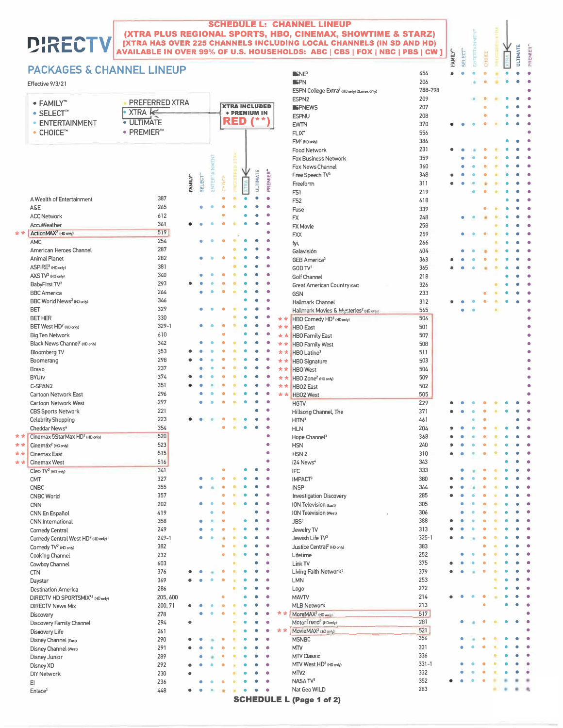## **SCHEDULE L: CHANNEL LINEUP** (XTRA PLUS REGIONAL SPORTS, HBO, CINEMAX, SHOWTIME & STARZ) [XTRA HAS OVER 225 CHANNELS INCLUDING LOCAL CHANNELS (IN SD AND HD) AVAILABLE IN OVER 99% OF U.S. HOUSEHOLDS: ABC | CBS | FOX | NBC | PBS | CW ]

 $SNE<sup>3</sup>$ 

**ISPN** 

ESPN College Extra<sup>2</sup> (HD only) (Games only)

**ULTIMATE** PREMIER"

 $\bullet$ 

×

 $\ddot{\phantom{a}}$  $\bullet$ 

 $\bullet$  $\bullet$ 

 $\ddot{\phantom{a}}$  $\ddot{\phantom{a}}$ 

 $\bullet$ 

 $\bullet$  $\bullet$ 

 $\bullet$ 

 $\bullet$ 

 $\bullet$ ò

 $\bullet$  $\bullet$ 

ö

 $\bullet$  $\bullet$ 

 $\bullet$  $\bullet$ 

 $\bullet$  $\bullet$ 

 $\bullet$  $\bullet$ 

 $\bullet$ 

 $\bullet$  $\ddot{\phantom{a}}$  $\bullet$  $\bullet$ 

 $\bullet$  $\ddot{\bullet}$ 

 $\bullet$  $\bullet$ 

 $\bullet$  $\ddot{\phantom{a}}$ 

 $\bullet$  $\ddot{\phantom{a}}$ 

 $\bullet$  $\bullet$ 

 $\bullet$  $\bullet$ 

 $\bullet$ ۰

 $\bullet$  $\bullet$ 

 $\bullet$  $\bullet$ 

 $\bullet$  $\bullet$ 

 $\bullet$  $\bullet$ 

 $\bullet$ 

 $\bullet$  $\bullet$ 

 $\bullet$ 

 $\bullet$ 

 $\bullet$  $\bullet$ 

 $\bullet$  $\bullet$ 

٠  $\bullet$ 

 $\bullet$ ۸

 $\bullet$ 

 $\bullet$ 

٠  $\ddot{\phantom{0}}$ 

 $\ddot{\phantom{a}}$ 

 $\bullet$ 

 $\bullet$ 

٠  $\bullet$ O

ä

Ä

٠

 $\bullet$  $\ddot{\bullet}$  $\bullet$ 

 $\bullet$ 

 $\bullet$ 

ä  $\bullet$  $\bullet$ 

 $\bullet$ 

 $\bullet$  $\bullet$ 

Ä  $\bullet$  $\ddot{\bullet}$ 

 $\bullet$ 

ö

 $\bullet$  $\bullet$  $\bullet$ 

 $\bullet$ 

 $\ddot{\bullet}$ 

٠

٠  $\bullet$  $\bullet$  $\bullet$ 

٠  $\bullet$  $\bullet$  $\bullet$ 

 $\bullet$ 

٠  $\bullet$  $\bullet$  $\bullet$ 

×  $\overline{\phantom{a}}$   $\bullet$ 

 $\bullet$  $\bullet$ 

 $\bullet$ 

 $\bullet$ 

 $\bullet$  $\bullet$  $\bullet$ 

ò  $\bullet$  $\bullet$ 

 $\bullet$  $\bullet$  $\bullet$ 

 $\bullet$  $\bullet$  $\bullet$ 

 $\bullet$  $\bullet$  $\bullet$ 

 $\bullet$  $\bullet$ 

ò

 $\ddot{\phantom{a}}$  $\bullet$  $\bullet$ 

ä

ä

 $\overline{\phantom{a}}$ ٠  $\bullet$ 

 $\bullet$ 

٠

 $\bullet$ 

 $\bullet$ 

**ЕАМІLY\*** SELECT" EWTER

 $\bullet$  $\bullet$   $\bullet$  $\bullet$ 

ä ×

 $\ddot{\phantom{a}}$ 

٠

ö  $\ddot{\phantom{a}}$ ×  $\bullet$ 

 $\bullet$ 

ä ä

ó

ä

 $\bullet$ ¥

ä

é ä ٠

ò

ò

ó

 $\bullet$ 

 $\bullet$ 

٠

×  $\bullet$ 

 $\ddot{\phantom{a}}$ 

 $\bullet$  $\bullet$ 

ö

 $\bullet$ 

 $\bullet$  $\bullet$  $\bullet$  $\bullet$ 

ċ ċ ö  $\bullet$ 

 $\bullet$ ö

 $\bullet$  $\bullet$ 

 $\bullet$  $\bullet$ ö ä ٠ ٠  $\bullet$ 

Ä

 $\bullet$ 

 $\bullet$ 

 $\bullet$ 

 $\bullet$ 

 $\bullet$ ö

 $\bullet$ 

۰

 $\bullet$ ö  $\bullet$ 

 $\ddot{\phantom{a}}$  $\bullet$  $\bullet$ 

 $\ddot{\phantom{a}}$  $\bullet$  $\bullet$  $\bullet$  $\bullet$ 

 $\ddot{\phantom{a}}$ 

 $\bullet$ 

 $\bullet$ 

 $\ddot{\phantom{a}}$ 

 $\ddot{\phantom{a}}$ 

 $\ddot{\phantom{a}}$ 

 $\bullet$ 

 $\bullet$ 

٠

 $\Delta$ 

 $\bullet$ 

ó

 $\ddot{\phantom{a}}$  $\bullet$ 

٠

 $\bullet$  $\bullet$  $\bullet$  $\bullet$ ä

٠

 $\bullet$  $\bullet$  $\bullet$ 

ń ü

ö

ó

ä

¢

٠

456

206

788-798

## **PACKAGES & CHANNEL LINEUP**

## Effective 9/3/21

DIR

|     |                                                | PREFERRED XTRA         |        |               |              |        |            |                      |                   |           |       | ESPN <sub>2</sub>                                  | 209       |
|-----|------------------------------------------------|------------------------|--------|---------------|--------------|--------|------------|----------------------|-------------------|-----------|-------|----------------------------------------------------|-----------|
|     | $\bullet$ FAMILY"                              |                        |        |               |              |        |            | <b>XTRA INCLUDED</b> |                   |           |       | <b>ISPNEWS</b>                                     | 207       |
|     | $\bullet$ SELECT <sup><math>n</math></sup>     | XTRA                   |        |               |              |        |            | + PREMIUM IN         |                   |           |       | <b>ESPNU</b>                                       | 208       |
|     | • ENTERTAINMENT                                | <b>ULTIMATE</b>        |        |               |              |        | <b>RED</b> |                      | $\mathbf{I}^{**}$ |           |       | <b>EWTN</b>                                        | 370       |
|     | $\bullet$ CHOICE <sup><math>\circ</math></sup> | • PREMIER <sup>™</sup> |        |               |              |        |            |                      |                   |           |       | FLIX*                                              | 556       |
|     |                                                |                        |        |               |              |        |            |                      |                   |           |       | FM <sup>2</sup> (HD only)                          | 386       |
|     |                                                |                        |        |               |              |        |            |                      |                   |           |       |                                                    | 231       |
|     |                                                |                        |        |               |              |        |            |                      |                   |           |       | <b>Food Network</b>                                |           |
|     |                                                |                        |        |               |              |        |            |                      |                   |           |       | <b>Fox Business Network</b>                        | 359       |
|     |                                                |                        |        |               | ENTERTAINMEN |        |            |                      |                   |           |       | Fox News Channel                                   | 360       |
|     |                                                |                        |        |               |              |        |            |                      | <b>ULTIMATE</b>   | PREMIER"  |       | Free Speech TV <sup>3</sup>                        | 348       |
|     |                                                |                        | FAMILY | <b>SELECT</b> |              | CHOICE |            |                      |                   |           |       | Freeform                                           | 311       |
|     |                                                |                        |        |               |              |        |            |                      |                   |           |       | FS1                                                | 219       |
|     | A Wealth of Entertainment                      | 387                    |        |               |              |        |            |                      |                   |           |       | F <sub>52</sub>                                    | 618       |
|     | A&E                                            | 265                    |        |               |              |        |            |                      |                   |           |       |                                                    |           |
|     | <b>ACC Network</b>                             | 612                    |        |               |              |        |            |                      |                   |           |       | Fuse                                               | 339       |
|     |                                                |                        |        |               |              |        |            |                      |                   |           |       | <b>FX</b>                                          | 248       |
|     | AccuWeather                                    | 361                    |        |               |              |        |            |                      |                   |           |       | FX Movie                                           | 258       |
| **  | ActionMAX <sup>2</sup> (HD only)               | 519                    |        |               |              |        |            |                      |                   |           |       | <b>FXX</b>                                         | 259       |
|     | <b>AMC</b>                                     | 254                    |        |               |              |        |            |                      |                   |           |       | fyi,                                               | 266       |
|     | American Heroes Channel                        | 287                    |        |               |              |        |            |                      |                   |           |       | Galavisión                                         | 404       |
|     | <b>Animal Planet</b>                           | 282                    |        |               |              |        |            |                      |                   |           |       | GEB America <sup>3</sup>                           | 363       |
|     | ASPIRE <sup>2</sup> (HD only)                  | 381                    |        |               |              |        |            |                      |                   |           |       | GOD TV3                                            | 365       |
|     | $AXS TV2$ (HD only)                            | 340                    |        |               |              |        |            |                      |                   |           |       |                                                    |           |
|     |                                                |                        |        |               |              |        |            |                      |                   |           |       | Golf Channel                                       | 218       |
|     | BabyFirst TV <sup>3</sup>                      | 293                    |        |               |              |        |            |                      |                   |           |       | Great American Country (GAC)                       | 326       |
|     | <b>BBC</b> America                             | 264                    |        |               |              |        |            |                      |                   |           |       | <b>GSN</b>                                         | 233       |
|     | BBC World News <sup>2</sup> (HD only)          | 346                    |        |               |              |        |            |                      |                   |           |       | Hallmark Channel                                   | 312       |
|     | <b>BET</b>                                     | 329                    |        |               |              |        |            |                      |                   |           |       | Hallmark Movies & Mysteries <sup>2</sup> (HD only) | 565       |
|     | <b>BET HER</b>                                 | 330                    |        |               |              |        |            |                      |                   |           | **    | HBO Cornedy HD <sup>2</sup> (HD only)              | 506       |
|     | BET West HD <sup>2</sup> (HD only)             | $329 - 1$              |        |               |              |        |            |                      |                   |           | **    | <b>HBO</b> East                                    | 501       |
|     |                                                | 610                    |        |               |              |        |            |                      |                   |           |       |                                                    |           |
|     | <b>Big Ten Network</b>                         |                        |        |               |              |        |            |                      |                   |           |       | * * HBO Family East                                | 507       |
|     | Black News Channel <sup>2</sup> (HD only)      | 342                    |        |               |              |        |            |                      |                   |           | **    | <b>HBO Family West</b>                             | 508       |
|     | Bloomberg TV                                   | 353                    |        |               |              |        |            |                      |                   |           | $* *$ | HBO Latino3                                        | 511       |
|     | Boomerang                                      | 298                    |        |               |              |        |            |                      |                   |           | **    | <b>HBO</b> Signature                               | 503       |
|     | Bravo                                          | 237                    |        |               |              |        |            |                      |                   |           | **    | <b>HBO</b> West                                    | 504       |
|     | <b>BYUtv</b>                                   | 374                    |        |               |              |        |            |                      |                   |           | **    | HBO Zone <sup>2</sup> (HD only)                    | 509       |
|     | C-SPAN2                                        | 351                    |        |               |              |        |            |                      |                   |           | **    | <b>HBO2</b> East                                   | 502       |
|     | Cartoon Network East                           | 296                    |        |               |              |        |            |                      |                   |           |       | * * HBO2 West                                      | 505       |
|     |                                                | 297                    |        |               |              |        |            |                      |                   |           |       |                                                    |           |
|     | <b>Cartoon Network West</b>                    |                        |        |               |              |        |            |                      |                   |           |       | <b>HGTV</b>                                        | 229       |
|     | <b>CBS Sports Network</b>                      | 221                    |        |               |              |        |            |                      |                   |           |       | Hillsong Channel, The                              | 371       |
|     | Celebrity Shopping                             | 223                    |        |               |              |        |            |                      |                   |           |       | HITN <sup>3</sup>                                  | 461       |
|     | Cheddar News <sup>4</sup>                      | 354                    |        |               |              |        |            |                      |                   |           |       | <b>HLN</b>                                         | 204       |
| **  | Cinemax 5StarMax HD <sup>2</sup> (HD only)     | 520                    |        |               |              |        |            |                      |                   |           |       | Hope Channel <sup>3</sup>                          | 368       |
| **  | Cinemáx <sup>2</sup> (HD only)                 | 523                    |        |               |              |        |            |                      |                   |           |       | <b>HSN</b>                                         | 240       |
| * * | <b>Cinemax East</b>                            | 515                    |        |               |              |        |            |                      |                   |           |       | HSN <sub>2</sub>                                   | 310       |
| * * |                                                | 516                    |        |               |              |        |            |                      |                   |           |       | i24 News <sup>4</sup>                              | 343       |
|     | Cinemax West                                   |                        |        |               |              |        |            |                      |                   |           |       |                                                    |           |
|     | Cleo TV <sup>2</sup> (HD only)                 | 341                    |        |               |              |        |            |                      |                   |           |       | <b>IFC</b>                                         | 333       |
|     | <b>CMT</b>                                     | 327                    |        |               |              |        |            |                      |                   |           |       | <b>IMPACT<sup>3</sup></b>                          | 380       |
|     | <b>CNBC</b>                                    | 355                    |        |               |              |        |            |                      |                   |           |       | <b>INSP</b>                                        | 364       |
|     | <b>CNBC World</b>                              | 357                    |        |               |              |        |            |                      |                   |           |       | <b>Investigation Discovery</b>                     | 285       |
|     | <b>CNN</b>                                     | 202                    |        |               |              |        |            |                      |                   |           |       | <b>ION Television (East)</b>                       | 305       |
|     | CNN En Español                                 | 419                    |        |               |              |        |            |                      |                   |           |       | ION Television (West)                              | 306       |
|     |                                                | 358                    |        |               |              |        |            |                      |                   |           |       | JBS <sup>3</sup>                                   | 388       |
|     | CNN International                              |                        |        |               |              |        |            |                      |                   |           |       |                                                    |           |
|     | Comedy Central                                 | 249                    |        |               |              |        |            |                      |                   |           |       | Jewelry TV                                         | 313       |
|     | Comedy Central West HD <sup>2</sup> (HD only)  | $249 - 1$              |        |               |              |        |            |                      |                   |           |       | Jewish Life TV3                                    | $325 - 1$ |
|     | Cornedy TV <sup>2</sup> (HD only)              | 382                    |        |               |              |        |            |                      |                   |           |       | Justice Central <sup>2</sup> (HD only)             | 383       |
|     | Cooking Channel                                | 232                    |        |               |              |        |            |                      |                   | ٠         |       | Lifetime                                           | 252       |
|     | Cowboy Channel                                 | 603                    |        |               |              |        |            |                      |                   | Ō         |       | Link TV                                            | 375       |
|     | <b>CTN</b>                                     | 376                    |        |               |              |        |            |                      |                   | ۰         |       | Living Faith Network <sup>3</sup>                  | 379       |
|     |                                                | 369                    |        |               |              |        |            |                      |                   |           |       | <b>LMN</b>                                         | 253       |
|     | Daystar                                        |                        |        |               |              |        |            |                      |                   |           |       |                                                    |           |
|     | <b>Destination America</b>                     | 286                    |        |               |              |        |            |                      |                   |           |       | Logo                                               | 272       |
|     | DIRECTV HD SPORTSMIX <sup>®2</sup> (HD only)   | 205,600                |        |               |              |        |            |                      |                   |           |       | <b>MAVTV</b>                                       | 214       |
|     | <b>DIRECTV News Mix</b>                        | 200, 71                |        |               |              |        |            |                      |                   | $\bullet$ |       | <b>MLB Network</b>                                 | 213       |
|     | Discovery                                      | 278                    |        |               |              |        |            |                      |                   | ٠         | **    | MoreMAX <sup>2</sup> (HD only)                     | 517       |
|     | Discovery Family Channel                       | 294                    |        |               |              |        |            |                      |                   | ٠         |       | MotorTrend <sup>2</sup> (HDonly)                   | 281       |
|     | Discovery Life                                 | 261                    |        |               |              |        |            |                      |                   | ۰         | **    | MovieMAX <sup>2</sup> (aD antly)                   | 521       |
|     |                                                | 290                    |        |               |              |        |            |                      |                   | ó         |       |                                                    | 356       |
|     | Disney Channel (East)                          |                        |        |               |              |        |            |                      |                   |           |       | <b>MSNBC</b>                                       | 331       |
|     | Disney Channel (West)                          | 291                    |        |               |              |        |            |                      |                   |           |       | <b>MTV</b>                                         |           |
|     | Disney Junior                                  | 289                    |        |               |              |        |            |                      |                   |           |       | <b>MTV Classic</b>                                 | 336       |
|     | Disney XD                                      | 292                    |        |               |              |        |            |                      |                   |           |       | MTV West HD <sup>2</sup> (HD only)                 | $331 - 1$ |
|     | <b>DIY Network</b>                             | 230                    |        |               |              |        |            |                      |                   |           |       | MTV <sub>2</sub>                                   | 332       |
|     | E!                                             | 236                    |        |               |              |        |            |                      |                   | ó         |       | NASA TV <sup>3</sup>                               | 352       |
|     | Enlace <sup>3</sup>                            | 448                    |        |               |              |        |            |                      |                   | ٠         |       | Nat Geo WILD                                       | 283       |
|     |                                                |                        |        |               |              |        |            |                      |                   |           |       |                                                    |           |

**SCHEDULE L (Page 1 of 2)**